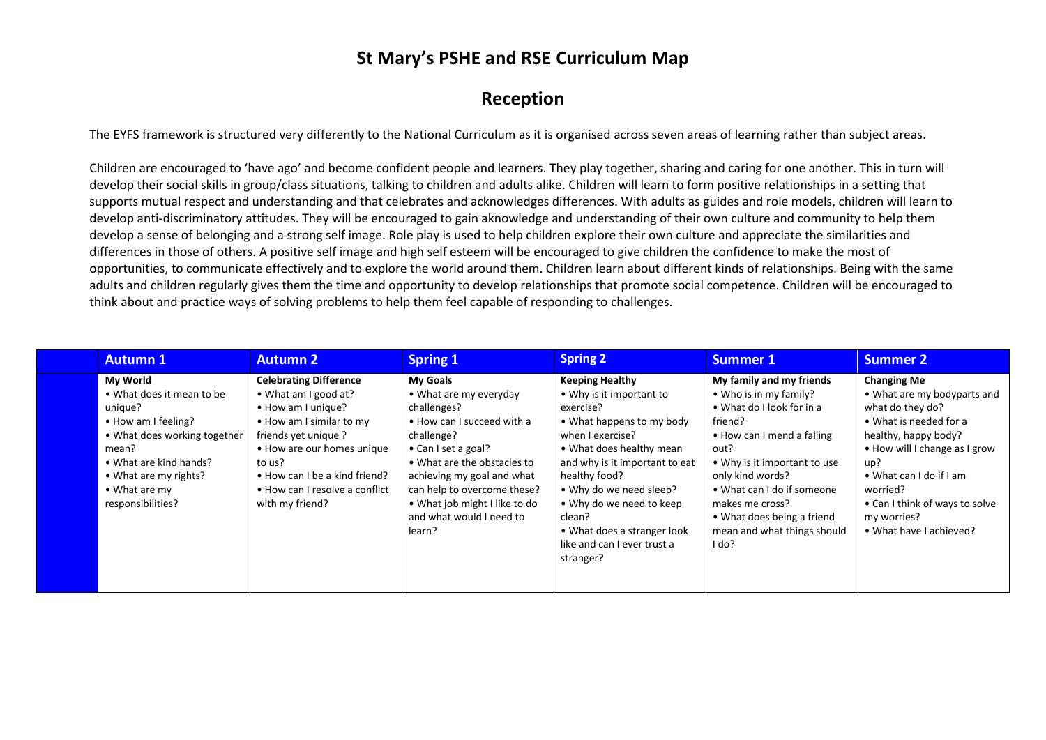### **St Mary's PSHE and RSE Curriculum Map**

#### **Reception**

The EYFS framework is structured very differently to the National Curriculum as it is organised across seven areas of learning rather than subject areas.

Children are encouraged to 'have ago' and become confident people and learners. They play together, sharing and caring for one another. This in turn will develop their social skills in group/class situations, talking to children and adults alike. Children will learn to form positive relationships in a setting that supports mutual respect and understanding and that celebrates and acknowledges differences. With adults as guides and role models, children will learn to develop anti-discriminatory attitudes. They will be encouraged to gain aknowledge and understanding of their own culture and community to help them develop a sense of belonging and a strong self image. Role play is used to help children explore their own culture and appreciate the similarities and differences in those of others. A positive self image and high self esteem will be encouraged to give children the confidence to make the most of opportunities, to communicate effectively and to explore the world around them. Children learn about different kinds of relationships. Being with the same adults and children regularly gives them the time and opportunity to develop relationships that promote social competence. Children will be encouraged to think about and practice ways of solving problems to help them feel capable of responding to challenges.

| <b>Autumn 1</b>                                                                                                                                                                                                          | <b>Autumn 2</b>                                                                                                                                                                                                                                              | <b>Spring 1</b>                                                                                                                                                                                                                                                                                | <b>Spring 2</b>                                                                                                                                                                                                                                                                                                                             | <b>Summer 1</b>                                                                                                                                                                                                                                                                                             | <b>Summer 2</b>                                                                                                                                                                                                                                                                    |
|--------------------------------------------------------------------------------------------------------------------------------------------------------------------------------------------------------------------------|--------------------------------------------------------------------------------------------------------------------------------------------------------------------------------------------------------------------------------------------------------------|------------------------------------------------------------------------------------------------------------------------------------------------------------------------------------------------------------------------------------------------------------------------------------------------|---------------------------------------------------------------------------------------------------------------------------------------------------------------------------------------------------------------------------------------------------------------------------------------------------------------------------------------------|-------------------------------------------------------------------------------------------------------------------------------------------------------------------------------------------------------------------------------------------------------------------------------------------------------------|------------------------------------------------------------------------------------------------------------------------------------------------------------------------------------------------------------------------------------------------------------------------------------|
| <b>My World</b><br>• What does it mean to be<br>unique?<br>• How am I feeling?<br>. What does working together<br>mean?<br>• What are kind hands?<br>• What are my rights?<br>$\bullet$ What are my<br>responsibilities? | <b>Celebrating Difference</b><br>• What am I good at?<br>• How am I unique?<br>• How am I similar to my<br>friends yet unique?<br>• How are our homes unique<br>to us?<br>• How can I be a kind friend?<br>• How can I resolve a conflict<br>with my friend? | <b>My Goals</b><br>• What are my everyday<br>challenges?<br>• How can I succeed with a<br>challenge?<br>• Can I set a goal?<br>• What are the obstacles to<br>achieving my goal and what<br>can help to overcome these?<br>• What job might I like to do<br>and what would I need to<br>learn? | <b>Keeping Healthy</b><br>• Why is it important to<br>exercise?<br>• What happens to my body<br>when I exercise?<br>• What does healthy mean<br>and why is it important to eat<br>healthy food?<br>• Why do we need sleep?<br>• Why do we need to keep<br>clean?<br>• What does a stranger look<br>like and can I ever trust a<br>stranger? | My family and my friends<br>• Who is in my family?<br>• What do I look for in a<br>friend?<br>• How can I mend a falling<br>out?<br>• Why is it important to use<br>only kind words?<br>• What can I do if someone<br>makes me cross?<br>• What does being a friend<br>mean and what things should<br>l do? | <b>Changing Me</b><br>• What are my bodyparts and<br>what do they do?<br>• What is needed for a<br>healthy, happy body?<br>• How will I change as I grow<br>up?<br>• What can I do if I am<br>worried?<br>• Can I think of ways to solve<br>my worries?<br>• What have I achieved? |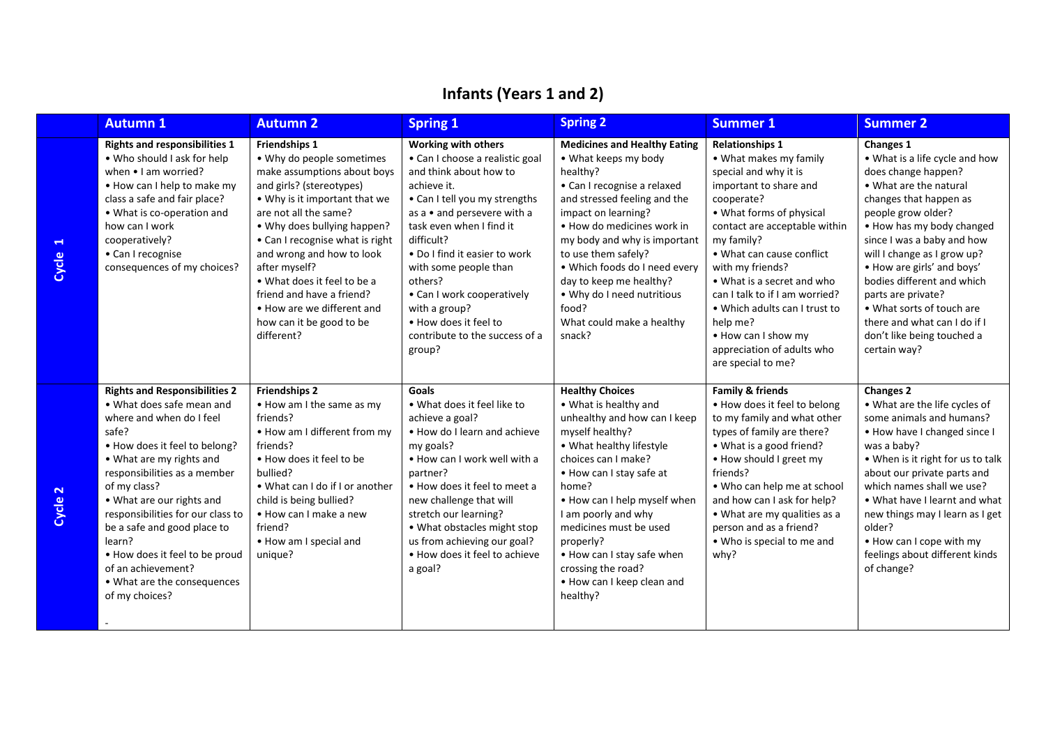|            | <b>Autumn 1</b>                                                                                                                                                                                                                                                                                                                                                                                                                         | <b>Autumn 2</b>                                                                                                                                                                                                                                                                                                                                                                                                            | <b>Spring 1</b>                                                                                                                                                                                                                                                                                                                                                                                           | <b>Spring 2</b>                                                                                                                                                                                                                                                                                                                                                                              | <b>Summer 1</b>                                                                                                                                                                                                                                                                                                                                                                                                                       | <b>Summer 2</b>                                                                                                                                                                                                                                                                                                                                                                                                                            |
|------------|-----------------------------------------------------------------------------------------------------------------------------------------------------------------------------------------------------------------------------------------------------------------------------------------------------------------------------------------------------------------------------------------------------------------------------------------|----------------------------------------------------------------------------------------------------------------------------------------------------------------------------------------------------------------------------------------------------------------------------------------------------------------------------------------------------------------------------------------------------------------------------|-----------------------------------------------------------------------------------------------------------------------------------------------------------------------------------------------------------------------------------------------------------------------------------------------------------------------------------------------------------------------------------------------------------|----------------------------------------------------------------------------------------------------------------------------------------------------------------------------------------------------------------------------------------------------------------------------------------------------------------------------------------------------------------------------------------------|---------------------------------------------------------------------------------------------------------------------------------------------------------------------------------------------------------------------------------------------------------------------------------------------------------------------------------------------------------------------------------------------------------------------------------------|--------------------------------------------------------------------------------------------------------------------------------------------------------------------------------------------------------------------------------------------------------------------------------------------------------------------------------------------------------------------------------------------------------------------------------------------|
| ᆏ<br>Cycle | <b>Rights and responsibilities 1</b><br>• Who should I ask for help<br>when • I am worried?<br>. How can I help to make my<br>class a safe and fair place?<br>• What is co-operation and<br>how can I work<br>cooperatively?<br>• Can I recognise<br>consequences of my choices?                                                                                                                                                        | <b>Friendships 1</b><br>• Why do people sometimes<br>make assumptions about boys<br>and girls? (stereotypes)<br>• Why is it important that we<br>are not all the same?<br>• Why does bullying happen?<br>• Can I recognise what is right<br>and wrong and how to look<br>after myself?<br>• What does it feel to be a<br>friend and have a friend?<br>• How are we different and<br>how can it be good to be<br>different? | <b>Working with others</b><br>• Can I choose a realistic goal<br>and think about how to<br>achieve it.<br>• Can I tell you my strengths<br>as a • and persevere with a<br>task even when I find it<br>difficult?<br>• Do I find it easier to work<br>with some people than<br>others?<br>• Can I work cooperatively<br>with a group?<br>. How does it feel to<br>contribute to the success of a<br>group? | <b>Medicines and Healthy Eating</b><br>• What keeps my body<br>healthy?<br>• Can I recognise a relaxed<br>and stressed feeling and the<br>impact on learning?<br>. How do medicines work in<br>my body and why is important<br>to use them safely?<br>. Which foods do I need every<br>day to keep me healthy?<br>. Why do I need nutritious<br>food?<br>What could make a healthy<br>snack? | <b>Relationships 1</b><br>• What makes my family<br>special and why it is<br>important to share and<br>cooperate?<br>• What forms of physical<br>contact are acceptable within<br>my family?<br>• What can cause conflict<br>with my friends?<br>• What is a secret and who<br>can I talk to if I am worried?<br>• Which adults can I trust to<br>help me?<br>• How can I show my<br>appreciation of adults who<br>are special to me? | <b>Changes 1</b><br>• What is a life cycle and how<br>does change happen?<br>• What are the natural<br>changes that happen as<br>people grow older?<br>. How has my body changed<br>since I was a baby and how<br>will I change as I grow up?<br>• How are girls' and boys'<br>bodies different and which<br>parts are private?<br>• What sorts of touch are<br>there and what can I do if I<br>don't like being touched a<br>certain way? |
| 2<br>Cycle | <b>Rights and Responsibilities 2</b><br>• What does safe mean and<br>where and when do I feel<br>safe?<br>• How does it feel to belong?<br>• What are my rights and<br>responsibilities as a member<br>of my class?<br>• What are our rights and<br>responsibilities for our class to<br>be a safe and good place to<br>learn?<br>. How does it feel to be proud<br>of an achievement?<br>• What are the consequences<br>of my choices? | <b>Friendships 2</b><br>• How am I the same as my<br>friends?<br>. How am I different from my<br>friends?<br>. How does it feel to be<br>bullied?<br>. What can I do if I or another<br>child is being bullied?<br>• How can I make a new<br>friend?<br>. How am I special and<br>unique?                                                                                                                                  | Goals<br>. What does it feel like to<br>achieve a goal?<br>. How do I learn and achieve<br>my goals?<br>. How can I work well with a<br>partner?<br>. How does it feel to meet a<br>new challenge that will<br>stretch our learning?<br>• What obstacles might stop<br>us from achieving our goal?<br>. How does it feel to achieve<br>a goal?                                                            | <b>Healthy Choices</b><br>• What is healthy and<br>unhealthy and how can I keep<br>myself healthy?<br>. What healthy lifestyle<br>choices can I make?<br>• How can I stay safe at<br>home?<br>. How can I help myself when<br>I am poorly and why<br>medicines must be used<br>properly?<br>. How can I stay safe when<br>crossing the road?<br>. How can I keep clean and<br>healthy?       | <b>Family &amp; friends</b><br>. How does it feel to belong<br>to my family and what other<br>types of family are there?<br>• What is a good friend?<br>. How should I greet my<br>friends?<br>. Who can help me at school<br>and how can I ask for help?<br>• What are my qualities as a<br>person and as a friend?<br>. Who is special to me and<br>why?                                                                            | <b>Changes 2</b><br>. What are the life cycles of<br>some animals and humans?<br>. How have I changed since I<br>was a baby?<br>• When is it right for us to talk<br>about our private parts and<br>which names shall we use?<br>. What have I learnt and what<br>new things may I learn as I get<br>older?<br>. How can I cope with my<br>feelings about different kinds<br>of change?                                                    |

# **Infants (Years 1 and 2)**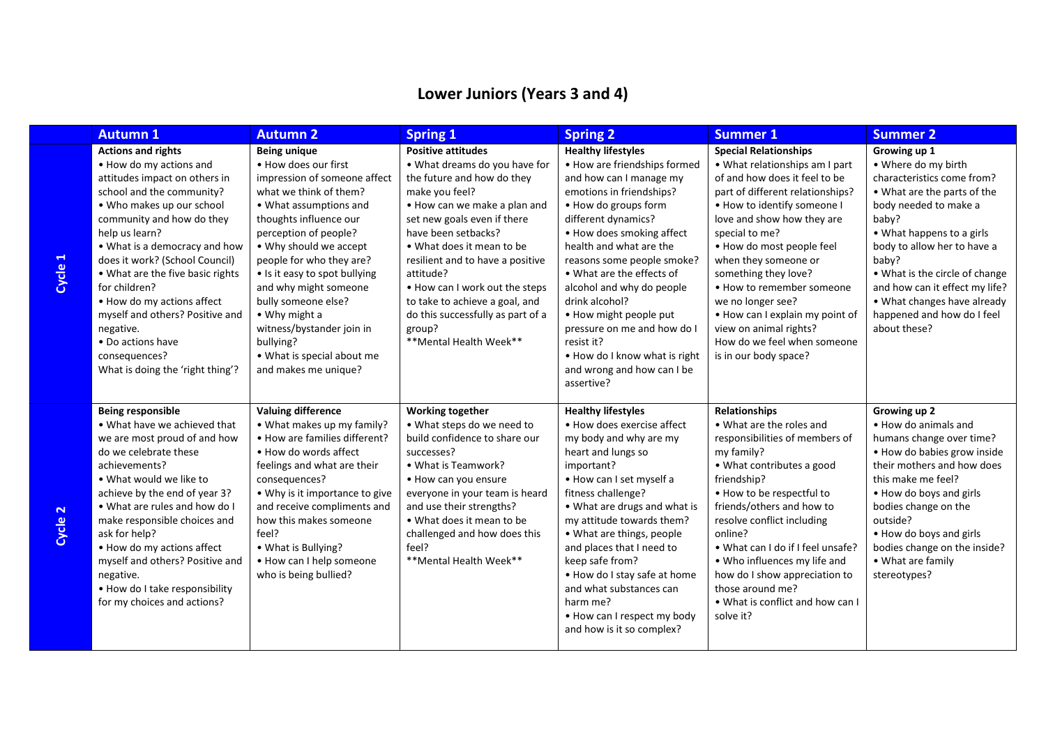## **Lower Juniors (Years 3 and 4)**

|                                  | <b>Autumn 1</b>                                                                                                                                                                                                                                                                                                                                                                                                                                                                | <b>Autumn 2</b>                                                                                                                                                                                                                                                                                                                                                                                                                                    | <b>Spring 1</b>                                                                                                                                                                                                                                                                                                                                                                                                             | <b>Spring 2</b>                                                                                                                                                                                                                                                                                                                                                                                                                                                                       | <b>Summer 1</b>                                                                                                                                                                                                                                                                                                                                                                                                                                                        | <b>Summer 2</b>                                                                                                                                                                                                                                                                                                                                          |
|----------------------------------|--------------------------------------------------------------------------------------------------------------------------------------------------------------------------------------------------------------------------------------------------------------------------------------------------------------------------------------------------------------------------------------------------------------------------------------------------------------------------------|----------------------------------------------------------------------------------------------------------------------------------------------------------------------------------------------------------------------------------------------------------------------------------------------------------------------------------------------------------------------------------------------------------------------------------------------------|-----------------------------------------------------------------------------------------------------------------------------------------------------------------------------------------------------------------------------------------------------------------------------------------------------------------------------------------------------------------------------------------------------------------------------|---------------------------------------------------------------------------------------------------------------------------------------------------------------------------------------------------------------------------------------------------------------------------------------------------------------------------------------------------------------------------------------------------------------------------------------------------------------------------------------|------------------------------------------------------------------------------------------------------------------------------------------------------------------------------------------------------------------------------------------------------------------------------------------------------------------------------------------------------------------------------------------------------------------------------------------------------------------------|----------------------------------------------------------------------------------------------------------------------------------------------------------------------------------------------------------------------------------------------------------------------------------------------------------------------------------------------------------|
| $\blacktriangleleft$<br>Cycle    | <b>Actions and rights</b><br>• How do my actions and<br>attitudes impact on others in<br>school and the community?<br>• Who makes up our school<br>community and how do they<br>help us learn?<br>. What is a democracy and how<br>does it work? (School Council)<br>. What are the five basic rights<br>for children?<br>• How do my actions affect<br>myself and others? Positive and<br>negative.<br>• Do actions have<br>consequences?<br>What is doing the 'right thing'? | <b>Being unique</b><br>. How does our first<br>impression of someone affect<br>what we think of them?<br>• What assumptions and<br>thoughts influence our<br>perception of people?<br>• Why should we accept<br>people for who they are?<br>• Is it easy to spot bullying<br>and why might someone<br>bully someone else?<br>$\bullet$ Why might a<br>witness/bystander join in<br>bullying?<br>• What is special about me<br>and makes me unique? | <b>Positive attitudes</b><br>. What dreams do you have for<br>the future and how do they<br>make you feel?<br>. How can we make a plan and<br>set new goals even if there<br>have been setbacks?<br>. What does it mean to be<br>resilient and to have a positive<br>attitude?<br>. How can I work out the steps<br>to take to achieve a goal, and<br>do this successfully as part of a<br>group?<br>**Mental Health Week** | <b>Healthy lifestyles</b><br>• How are friendships formed<br>and how can I manage my<br>emotions in friendships?<br>• How do groups form<br>different dynamics?<br>• How does smoking affect<br>health and what are the<br>reasons some people smoke?<br>• What are the effects of<br>alcohol and why do people<br>drink alcohol?<br>. How might people put<br>pressure on me and how do I<br>resist it?<br>. How do I know what is right<br>and wrong and how can I be<br>assertive? | <b>Special Relationships</b><br>• What relationships am I part<br>of and how does it feel to be<br>part of different relationships?<br>. How to identify someone I<br>love and show how they are<br>special to me?<br>· How do most people feel<br>when they someone or<br>something they love?<br>• How to remember someone<br>we no longer see?<br>. How can I explain my point of<br>view on animal rights?<br>How do we feel when someone<br>is in our body space? | Growing up 1<br>• Where do my birth<br>characteristics come from?<br>• What are the parts of the<br>body needed to make a<br>baby?<br>• What happens to a girls<br>body to allow her to have a<br>baby?<br>• What is the circle of change<br>and how can it effect my life?<br>• What changes have already<br>happened and how do I feel<br>about these? |
| $\overline{\mathbf{r}}$<br>Cycle | Being responsible<br>• What have we achieved that<br>we are most proud of and how<br>do we celebrate these<br>achievements?<br>. What would we like to<br>achieve by the end of year 3?<br>. What are rules and how do I<br>make responsible choices and<br>ask for help?<br>. How do my actions affect<br>myself and others? Positive and<br>negative.<br>. How do I take responsibility<br>for my choices and actions?                                                       | <b>Valuing difference</b><br>• What makes up my family?<br>• How are families different?<br>• How do words affect<br>feelings and what are their<br>consequences?<br>• Why is it importance to give<br>and receive compliments and<br>how this makes someone<br>feel?<br>• What is Bullying?<br>• How can I help someone<br>who is being bullied?                                                                                                  | <b>Working together</b><br>. What steps do we need to<br>build confidence to share our<br>successes?<br>• What is Teamwork?<br>• How can you ensure<br>everyone in your team is heard<br>and use their strengths?<br>• What does it mean to be<br>challenged and how does this<br>feel?<br>** Mental Health Week**                                                                                                          | <b>Healthy lifestyles</b><br>• How does exercise affect<br>my body and why are my<br>heart and lungs so<br>important?<br>• How can I set myself a<br>fitness challenge?<br>• What are drugs and what is<br>my attitude towards them?<br>• What are things, people<br>and places that I need to<br>keep safe from?<br>. How do I stay safe at home<br>and what substances can<br>harm me?<br>. How can I respect my body<br>and how is it so complex?                                  | <b>Relationships</b><br>• What are the roles and<br>responsibilities of members of<br>my family?<br>• What contributes a good<br>friendship?<br>. How to be respectful to<br>friends/others and how to<br>resolve conflict including<br>online?<br>. What can I do if I feel unsafe?<br>. Who influences my life and<br>how do I show appreciation to<br>those around me?<br>• What is conflict and how can I<br>solve it?                                             | Growing up 2<br>• How do animals and<br>humans change over time?<br>. How do babies grow inside<br>their mothers and how does<br>this make me feel?<br>. How do boys and girls<br>bodies change on the<br>outside?<br>. How do boys and girls<br>bodies change on the inside?<br>• What are family<br>stereotypes?                                       |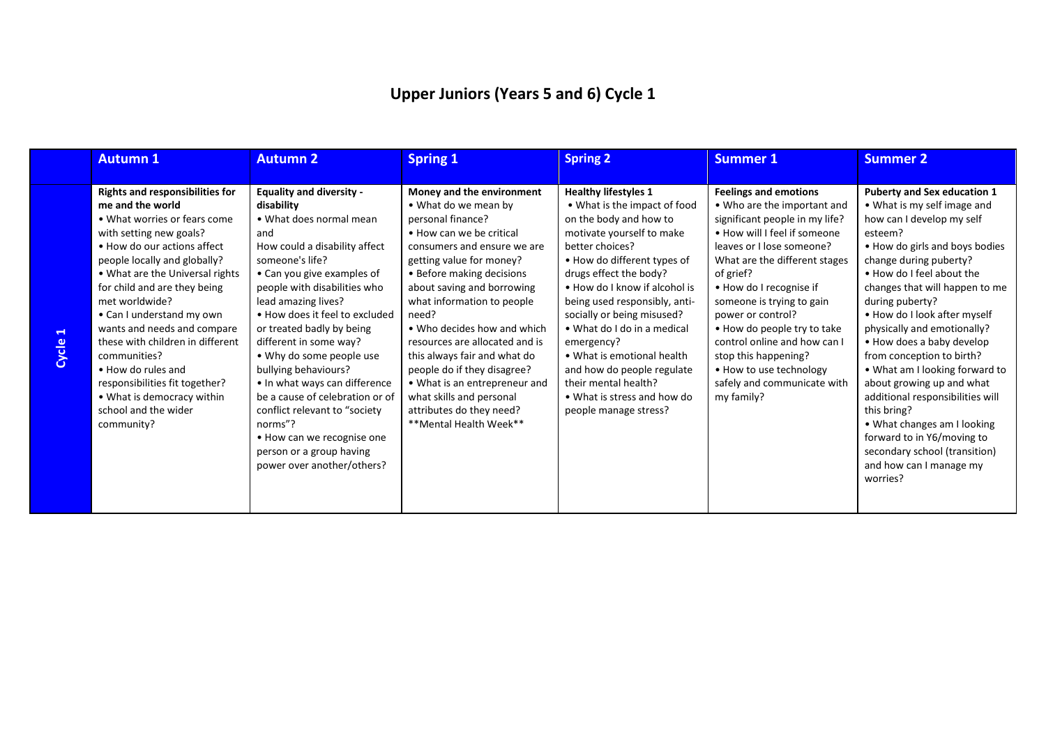# **Upper Juniors (Years 5 and 6) Cycle 1**

|                                   | <b>Autumn 1</b>                                                                                                                                                                                                                                                                                                                                                                                                                                                                                                       | <b>Autumn 2</b>                                                                                                                                                                                                                                                                                                                                                                                                                                                                                                                                                                | <b>Spring 1</b>                                                                                                                                                                                                                                                                                                                                                                                                                                                                                                    | <b>Spring 2</b>                                                                                                                                                                                                                                                                                                                                                                                                                                                                         | <b>Summer 1</b>                                                                                                                                                                                                                                                                                                                                                                                                                                      | <b>Summer 2</b>                                                                                                                                                                                                                                                                                                                                                                                                                                                                                                                                                                                                                         |
|-----------------------------------|-----------------------------------------------------------------------------------------------------------------------------------------------------------------------------------------------------------------------------------------------------------------------------------------------------------------------------------------------------------------------------------------------------------------------------------------------------------------------------------------------------------------------|--------------------------------------------------------------------------------------------------------------------------------------------------------------------------------------------------------------------------------------------------------------------------------------------------------------------------------------------------------------------------------------------------------------------------------------------------------------------------------------------------------------------------------------------------------------------------------|--------------------------------------------------------------------------------------------------------------------------------------------------------------------------------------------------------------------------------------------------------------------------------------------------------------------------------------------------------------------------------------------------------------------------------------------------------------------------------------------------------------------|-----------------------------------------------------------------------------------------------------------------------------------------------------------------------------------------------------------------------------------------------------------------------------------------------------------------------------------------------------------------------------------------------------------------------------------------------------------------------------------------|------------------------------------------------------------------------------------------------------------------------------------------------------------------------------------------------------------------------------------------------------------------------------------------------------------------------------------------------------------------------------------------------------------------------------------------------------|-----------------------------------------------------------------------------------------------------------------------------------------------------------------------------------------------------------------------------------------------------------------------------------------------------------------------------------------------------------------------------------------------------------------------------------------------------------------------------------------------------------------------------------------------------------------------------------------------------------------------------------------|
| $\mathrel{\blacksquare}$<br>Cycle | <b>Rights and responsibilities for</b><br>me and the world<br>• What worries or fears come<br>with setting new goals?<br>• How do our actions affect<br>people locally and globally?<br>• What are the Universal rights<br>for child and are they being<br>met worldwide?<br>• Can I understand my own<br>wants and needs and compare<br>these with children in different<br>communities?<br>• How do rules and<br>responsibilities fit together?<br>• What is democracy within<br>school and the wider<br>community? | <b>Equality and diversity -</b><br>disability<br>• What does normal mean<br>and<br>How could a disability affect<br>someone's life?<br>• Can you give examples of<br>people with disabilities who<br>lead amazing lives?<br>• How does it feel to excluded<br>or treated badly by being<br>different in some way?<br>• Why do some people use<br>bullying behaviours?<br>• In what ways can difference<br>be a cause of celebration or of<br>conflict relevant to "society"<br>norms"?<br>• How can we recognise one<br>person or a group having<br>power over another/others? | Money and the environment<br>• What do we mean by<br>personal finance?<br>• How can we be critical<br>consumers and ensure we are<br>getting value for money?<br>• Before making decisions<br>about saving and borrowing<br>what information to people<br>need?<br>• Who decides how and which<br>resources are allocated and is<br>this always fair and what do<br>people do if they disagree?<br>• What is an entrepreneur and<br>what skills and personal<br>attributes do they need?<br>**Mental Health Week** | <b>Healthy lifestyles 1</b><br>• What is the impact of food<br>on the body and how to<br>motivate yourself to make<br>better choices?<br>• How do different types of<br>drugs effect the body?<br>• How do I know if alcohol is<br>being used responsibly, anti-<br>socially or being misused?<br>• What do I do in a medical<br>emergency?<br>• What is emotional health<br>and how do people regulate<br>their mental health?<br>• What is stress and how do<br>people manage stress? | <b>Feelings and emotions</b><br>• Who are the important and<br>significant people in my life?<br>• How will I feel if someone<br>leaves or I lose someone?<br>What are the different stages<br>of grief?<br>• How do I recognise if<br>someone is trying to gain<br>power or control?<br>. How do people try to take<br>control online and how can I<br>stop this happening?<br>• How to use technology<br>safely and communicate with<br>my family? | <b>Puberty and Sex education 1</b><br>• What is my self image and<br>how can I develop my self<br>esteem?<br>• How do girls and boys bodies<br>change during puberty?<br>. How do I feel about the<br>changes that will happen to me<br>during puberty?<br>• How do I look after myself<br>physically and emotionally?<br>• How does a baby develop<br>from conception to birth?<br>. What am I looking forward to<br>about growing up and what<br>additional responsibilities will<br>this bring?<br>• What changes am I looking<br>forward to in Y6/moving to<br>secondary school (transition)<br>and how can I manage my<br>worries? |